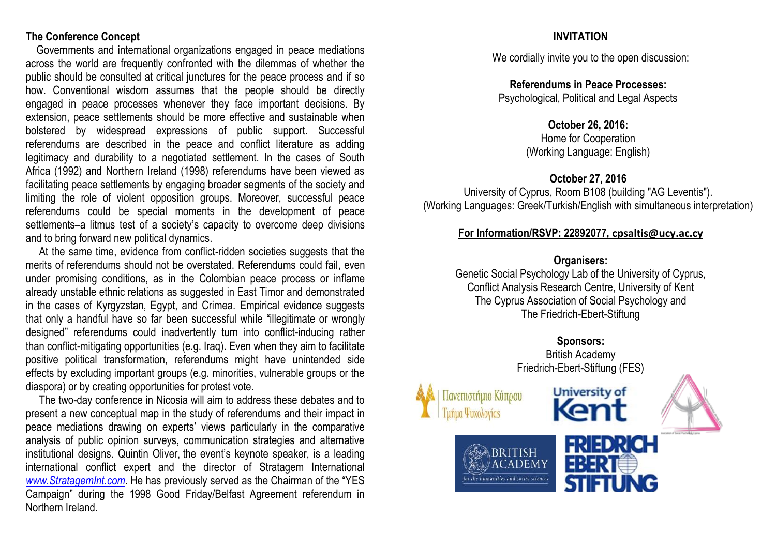#### **The Conference Concept**

 Governments and international organizations engaged in peace mediations across the world are frequently confronted with the dilemmas of whether the public should be consulted at critical junctures for the peace process and if so how. Conventional wisdom assumes that the people should be directly engaged in peace processes whenever they face important decisions. By extension, peace settlements should be more effective and sustainable when bolstered by widespread expressions of public support. Successful referendums are described in the peace and conflict literature as adding legitimacy and durability to a negotiated settlement. In the cases of South Africa (1992) and Northern Ireland (1998) referendums have been viewed as facilitating peace settlements by engaging broader segments of the society and limiting the role of violent opposition groups. Moreover, successful peace referendums could be special moments in the development of peace settlements–a litmus test of a society's capacity to overcome deep divisions and to bring forward new political dynamics.

 At the same time, evidence from conflict-ridden societies suggests that the merits of referendums should not be overstated. Referendums could fail, even under promising conditions, as in the Colombian peace process or inflame already unstable ethnic relations as suggested in East Timor and demonstrated in the cases of Kyrgyzstan, Egypt, and Crimea. Empirical evidence suggests that only a handful have so far been successful while "illegitimate or wrongly designed" referendums could inadvertently turn into conflict-inducing rather than conflict-mitigating opportunities (e.g. Iraq). Even when they aim to facilitate positive political transformation, referendums might have unintended side effects by excluding important groups (e.g. minorities, vulnerable groups or the diaspora) or by creating opportunities for protest vote.

 The two-day conference in Nicosia will aim to address these debates and to present a new conceptual map in the study of referendums and their impact in peace mediations drawing on experts' views particularly in the comparative analysis of public opinion surveys, communication strategies and alternative institutional designs. Quintin Oliver, the event's keynote speaker, is a leading international conflict expert and the director of Stratagem International *[www.StratagemInt.com](http://www.stratagemint.com/)*. He has previously served as the Chairman of the "YES Campaign" during the 1998 Good Friday/Belfast Agreement referendum in Northern Ireland.

## **INVITATION**

We cordially invite you to the open discussion:

**Referendums in Peace Processes:**  Psychological, Political and Legal Aspects

#### **October 26, 2016:**

Home for Cooperation (Working Language: English)

#### **October 27, 2016**

University of Cyprus, Room B108 (building "AG Leventis"). (Working Languages: Greek/Turkish/English with simultaneous interpretation)

#### **For Information/RSVP: 22892077, [cpsaltis@ucy.ac.cy](mailto:cpsaltis@ucy.ac.cy)**

#### **Organisers:**

Genetic Social Psychology Lab of the University of Cyprus, Conflict Analysis Research Centre, University of Kent The Cyprus Association of Social Psychology and The Friedrich-Ebert-Stiftung